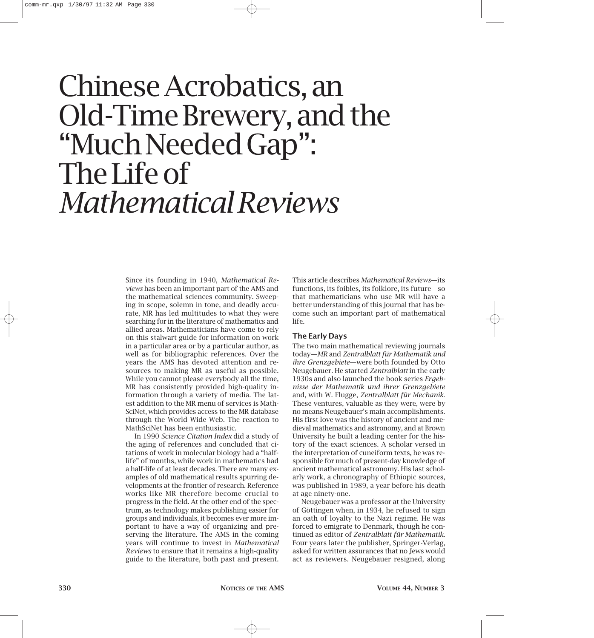# Chinese Acrobatics, an Old-Time Brewery, and the "Much Needed Gap": The Life of *Mathematical Reviews*

Since its founding in 1940, *Mathematical Reviews* has been an important part of the AMS and the mathematical sciences community. Sweeping in scope, solemn in tone, and deadly accurate, MR has led multitudes to what they were searching for in the literature of mathematics and allied areas. Mathematicians have come to rely on this stalwart guide for information on work in a particular area or by a particular author, as well as for bibliographic references. Over the years the AMS has devoted attention and resources to making MR as useful as possible. While you cannot please everybody all the time, MR has consistently provided high-quality information through a variety of media. The latest addition to the MR menu of services is Math-SciNet, which provides access to the MR database through the World Wide Web. The reaction to MathSciNet has been enthusiastic.

In 1990 *Science Citation Index* did a study of the aging of references and concluded that citations of work in molecular biology had a "halflife" of months, while work in mathematics had a half-life of at least decades. There are many examples of old mathematical results spurring developments at the frontier of research. Reference works like MR therefore become crucial to progress in the field. At the other end of the spectrum, as technology makes publishing easier for groups and individuals, it becomes ever more important to have a way of organizing and preserving the literature. The AMS in the coming years will continue to invest in *Mathematical Reviews* to ensure that it remains a high-quality guide to the literature, both past and present.

This article describes *Mathematical Reviews*—its functions, its foibles, its folklore, its future—so that mathematicians who use MR will have a better understanding of this journal that has become such an important part of mathematical life.

# **The Early Days**

The two main mathematical reviewing journals today—*MR* and *Zentralblatt für Mathematik und ihre Grenzgebiete*—were both founded by Otto Neugebauer. He started *Zentralblatt* in the early 1930s and also launched the book series *Ergebnisse der Mathematik und ihrer Grenzgebiete* and, with W. Flugge, *Zentralblatt für Mechanik*. These ventures, valuable as they were, were by no means Neugebauer's main accomplishments. His first love was the history of ancient and medieval mathematics and astronomy, and at Brown University he built a leading center for the history of the exact sciences. A scholar versed in the interpretation of cuneiform texts, he was responsible for much of present-day knowledge of ancient mathematical astronomy. His last scholarly work, a chronography of Ethiopic sources, was published in 1989, a year before his death at age ninety-one.

Neugebauer was a professor at the University of Göttingen when, in 1934, he refused to sign an oath of loyalty to the Nazi regime. He was forced to emigrate to Denmark, though he continued as editor of *Zentralblatt für Mathematik*. Four years later the publisher, Springer-Verlag, asked for written assurances that no Jews would act as reviewers. Neugebauer resigned, along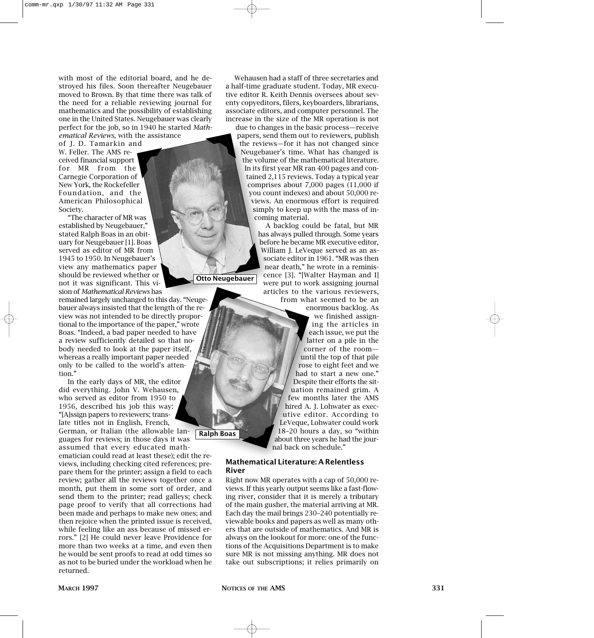with most of the editorial board, and he destroyed his files. Soon thereafter Neugebauer moved to Brown. By that time there was talk of the need for a reliable reviewing journal for mathematics and the possibility of establishing one in the United States. Neugebauer was clearly perfect for the job, so in 1940 he started *Mathematical Reviews*, with the assistance

of J. D. Tamarkin and

W. Feller. The AMS received financial support for MR from the Carnegie Corporation of New York, the Rockefeller Foundation, and the American Philosophical Society.

"The character of MR was established by Neugebauer," stated Ralph Boas in an obituary for Neugebauer [1]. Boas served as editor of MR from 1945 to 1950. In Neugebauer's view any mathematics paper should be reviewed whether or not it was significant. This vision of *Mathematical Reviews* has

remained largely unchanged to this day. "Neugebauer always insisted that the length of the review was not intended to be directly proportional to the importance of the paper," wrote Boas. "Indeed, a bad paper needed to have a review sufficiently detailed so that nobody needed to look at the paper itself, whereas a really important paper needed only to be called to the world's attention."

In the early days of MR, the editor did everything. John V. Wehausen, who served as editor from 1950 to 1956, described his job this way: "[A]ssign papers to reviewers; translate titles not in English, French, German, or Italian (the allowable languages for reviews; in those days it was assumed that every educated mathematician could read at least these); edit the reviews, including checking cited references; prepare them for the printer; assign a field to each review; gather all the reviews together once a month, put them in some sort of order, and send them to the printer; read galleys; check page proof to verify that all corrections had been made and perhaps to make new ones; and then rejoice when the printed issue is received, while feeling like an ass because of missed errors." [2] He could never leave Providence for more than two weeks at a time, and even then he would be sent proofs to read at odd times so as not to be buried under the workload when he returned. **Ralph Boas**

Wehausen had a staff of three secretaries and a half-time graduate student. Today, MR executive editor R. Keith Dennis oversees about seventy copyeditors, filers, keyboarders, librarians, associate editors, and computer personnel. The increase in the size of the MR operation is not

due to changes in the basic process—receive papers, send them out to reviewers, publish the reviews—for it has not changed since Neugebauer's time. What has changed is the volume of the mathematical literature. In its first year MR ran 400 pages and contained 2,115 reviews. Today a typical year comprises about 7,000 pages (11,000 if you count indexes) and about 50,000 reviews. An enormous effort is required simply to keep up with the mass of incoming material.

> A backlog could be fatal, but MR has always pulled through. Some years before he became MR executive editor, William J. LeVeque served as an associate editor in 1961. "MR was then near death," he wrote in a reminiscence [3]. "[Walter Hayman and I] were put to work assigning journal articles to the various reviewers,

from what seemed to be an enormous backlog. As we finished assigning the articles in each issue, we put the latter on a pile in the corner of the room until the top of that pile rose to eight feet and we had to start a new one." Despite their efforts the situation remained grim. A few months later the AMS hired A. J. Lohwater as executive editor. According to LeVeque, Lohwater could work 18–20 hours a day, so "within about three years he had the journal back on schedule."

## **Mathematical Literature: A Relentless River**

Right now MR operates with a cap of 50,000 reviews. If this yearly output seems like a fast-flowing river, consider that it is merely a tributary of the main gusher, the material arriving at MR. Each day the mail brings 230–240 potentially reviewable books and papers as well as many others that are outside of mathematics. And MR is always on the lookout for more: one of the functions of the Acquisitions Department is to make sure MR is not missing anything. MR does not take out subscriptions; it relies primarily on

**Otto Neugebauer**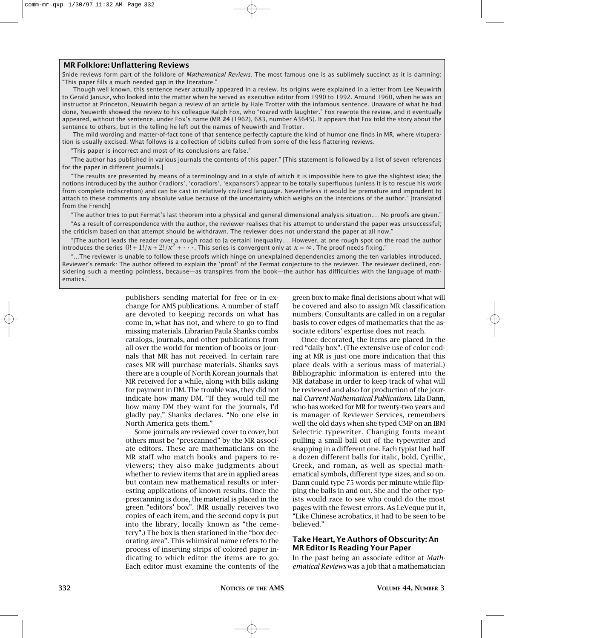#### **MR Folklore: Unflattering Reviews**

Snide reviews form part of the folklore of *Mathematical Reviews*. The most famous one is as sublimely succinct as it is damning: "This paper fills a much needed gap in the literature."

Though well known, this sentence never actually appeared in a review. Its origins were explained in a letter from Lee Neuwirth to Gerald Janusz, who looked into the matter when he served as executive editor from 1990 to 1992. Around 1960, when he was an instructor at Princeton, Neuwirth began a review of an article by Hale Trotter with the infamous sentence. Unaware of what he had done, Neuwirth showed the review to his colleague Ralph Fox, who "roared with laughter." Fox rewrote the review, and it eventually appeared, without the sentence, under Fox's name (MR **24** (1962), 683, number A3645). It appears that Fox told the story about the sentence to others, but in the telling he left out the names of Neuwirth and Trotter.

The mild wording and matter-of-fact tone of that sentence perfectly capture the kind of humor one finds in MR, where vituperation is usually excised. What follows is a collection of tidbits culled from some of the less flattering reviews.

"This paper is incorrect and most of its conclusions are false."

"The author has published in various journals the contents of this paper." [This statement is followed by a list of seven references for the paper in different journals.]

"The results are presented by means of a terminology and in a style of which it is impossible here to give the slightest idea; the notions introduced by the author ('radiors', 'coradiors', 'expansors') appear to be totally superfluous (unless it is to rescue his work from complete indiscretion) and can be cast in relatively civilized language. Nevertheless it would be premature and imprudent to attach to these comments any absolute value because of the uncertainty which weighs on the intentions of the author." [translated from the French]

"The author tries to put Fermat's last theorem into a physical and general dimensional analysis situation.… No proofs are given." "As a result of correspondence with the author, the reviewer realises that his attempt to understand the paper was unsuccessful; the criticism based on that attempt should be withdrawn. The reviewer does not understand the paper at all now."

"[The author] leads the reader over a rough road to [a certain] inequality.… However, at one rough spot on the road the author introduces the series  $0! + 1!/x + 2!/x^2 + \cdots$ . This series is convergent only at  $x = \infty$ . The proof needs fixing."

"…The reviewer is unable to follow these proofs which hinge on unexplained dependencies among the ten variables introduced. Reviewer's remark: The author offered to explain the 'proof' of the Fermat conjecture to the reviewer. The reviewer declined, considering such a meeting pointless, because—as transpires from the book—the author has difficulties with the language of mathematics."

> publishers sending material for free or in exchange for AMS publications. A number of staff are devoted to keeping records on what has come in, what has not, and where to go to find missing materials. Librarian Paula Shanks combs catalogs, journals, and other publications from all over the world for mention of books or journals that MR has not received. In certain rare cases MR will purchase materials. Shanks says there are a couple of North Korean journals that MR received for a while, along with bills asking for payment in DM. The trouble was, they did not indicate how many DM. "If they would tell me how many DM they want for the journals, I'd gladly pay," Shanks declares. "No one else in North America gets them."

> Some journals are reviewed cover to cover, but others must be "prescanned" by the MR associate editors. These are mathematicians on the MR staff who match books and papers to reviewers; they also make judgments about whether to review items that are in applied areas but contain new mathematical results or interesting applications of known results. Once the prescanning is done, the material is placed in the green "editors' box". (MR usually receives two copies of each item, and the second copy is put into the library, locally known as "the cemetery".) The box is then stationed in the "box decorating area". This whimsical name refers to the process of inserting strips of colored paper indicating to which editor the items are to go. Each editor must examine the contents of the

green box to make final decisions about what will be covered and also to assign MR classification numbers. Consultants are called in on a regular basis to cover edges of mathematics that the associate editors' expertise does not reach.

Once decorated, the items are placed in the red "daily box". (The extensive use of color coding at MR is just one more indication that this place deals with a serious mass of material.) Bibliographic information is entered into the MR database in order to keep track of what will be reviewed and also for production of the journal *Current Mathematical Publications*. Lila Dann, who has worked for MR for twenty-two years and is manager of Reviewer Services, remembers well the old days when she typed CMP on an IBM Selectric typewriter. Changing fonts meant pulling a small ball out of the typewriter and snapping in a different one. Each typist had half a dozen different balls for italic, bold, Cyrillic, Greek, and roman, as well as special mathematical symbols, different type sizes, and so on. Dann could type 75 words per minute while flipping the balls in and out. She and the other typists would race to see who could do the most pages with the fewest errors. As LeVeque put it, "Like Chinese acrobatics, it had to be seen to be believed."

## **Take Heart, Ye Authors of Obscurity: An MR Editor Is Reading Your Paper**

In the past being an associate editor at *Mathematical Reviews* was a job that a mathematician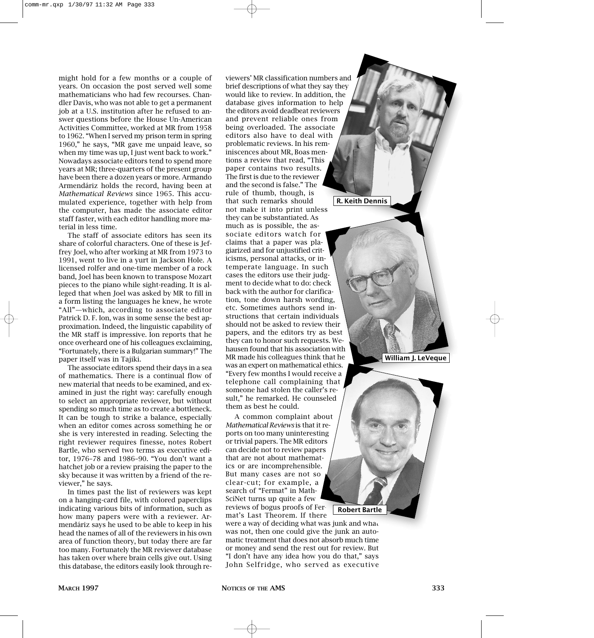might hold for a few months or a couple of years. On occasion the post served well some mathematicians who had few recourses. Chandler Davis, who was not able to get a permanent job at a U.S. institution after he refused to answer questions before the House Un-American Activities Committee, worked at MR from 1958 to 1962. "When I served my prison term in spring 1960," he says, "MR gave me unpaid leave, so when my time was up, I just went back to work." Nowadays associate editors tend to spend more years at MR; three-quarters of the present group have been there a dozen years or more. Armando Armendáriz holds the record, having been at *Mathematical Reviews* since 1965. This accumulated experience, together with help from the computer, has made the associate editor staff faster, with each editor handling more material in less time.

The staff of associate editors has seen its share of colorful characters. One of these is Jeffrey Joel, who after working at MR from 1973 to 1991, went to live in a yurt in Jackson Hole. A licensed rolfer and one-time member of a rock band, Joel has been known to transpose Mozart pieces to the piano while sight-reading. It is alleged that when Joel was asked by MR to fill in a form listing the languages he knew, he wrote "All"—which, according to associate editor Patrick D. F. Ion, was in some sense the best approximation. Indeed, the linguistic capability of the MR staff is impressive. Ion reports that he once overheard one of his colleagues exclaiming, "Fortunately, there is a Bulgarian summary!" The paper itself was in Tajiki.

The associate editors spend their days in a sea of mathematics. There is a continual flow of new material that needs to be examined, and examined in just the right way: carefully enough to select an appropriate reviewer, but without spending so much time as to create a bottleneck. It can be tough to strike a balance, especially when an editor comes across something he or she is very interested in reading. Selecting the right reviewer requires finesse, notes Robert Bartle, who served two terms as executive editor, 1976–78 and 1986–90. "You don't want a hatchet job or a review praising the paper to the sky because it was written by a friend of the reviewer," he says.

In times past the list of reviewers was kept on a hanging-card file, with colored paperclips indicating various bits of information, such as how many papers were with a reviewer. Armendáriz says he used to be able to keep in his head the names of all of the reviewers in his own area of function theory, but today there are far too many. Fortunately the MR reviewer database has taken over where brain cells give out. Using this database, the editors easily look through reviewers' MR classification numbers and brief descriptions of what they say they would like to review. In addition, the database gives information to help the editors avoid deadbeat reviewers and prevent reliable ones from being overloaded. The associate editors also have to deal with problematic reviews. In his reminiscences about MR, Boas mentions a review that read, "This paper contains two results. The first is due to the reviewer and the second is false." The rule of thumb, though, is that such remarks should not make it into print unless they can be substantiated. As much as is possible, the associate editors watch for claims that a paper was plagiarized and for unjustified criticisms, personal attacks, or intemperate language. In such cases the editors use their judgment to decide what to do: check back with the author for clarification, tone down harsh wording, etc. Sometimes authors send instructions that certain individuals should not be asked to review their papers, and the editors try as best they can to honor such requests. Wehausen found that his association with MR made his colleagues think that he was an expert on mathematical ethics. "Every few months I would receive a telephone call complaining that someone had stolen the caller's result," he remarked. He counseled them as best he could. **R. Keith Dennis**

A common complaint about *Mathematical Reviews* is that it reports on too many uninteresting or trivial papers. The MR editors can decide not to review papers that are not about mathematics or are incomprehensible. But many cases are not so clear-cut; for example, a search of "Fermat" in Math-SciNet turns up quite a few reviews of bogus proofs of Fermat's Last Theorem. If there

were a way of deciding what was junk and what was not, then one could give the junk an automatic treatment that does not absorb much time or money and send the rest out for review. But "I don't have any idea how you do that," says John Selfridge, who served as executive

**Robert Bartle**

**William J. LeVeque**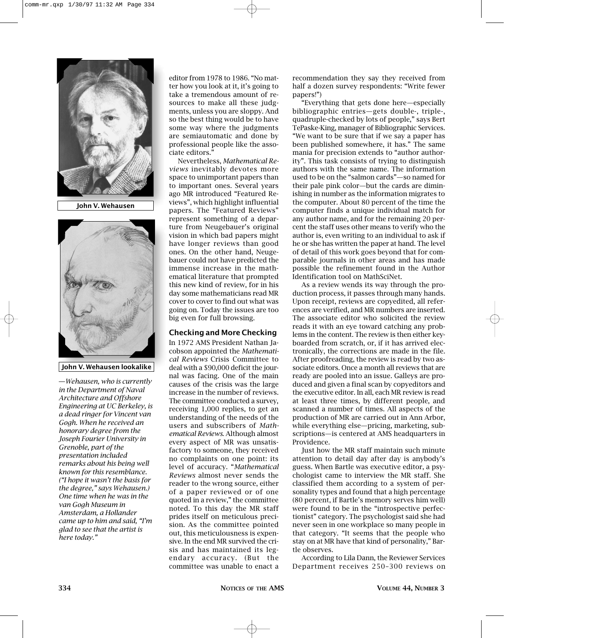

**John V. Wehausen**



**John V. Wehausen lookalike**

**—***Wehausen, who is currently in the Department of Naval Architecture and Offshore Engineering at UC Berkeley, is a dead ringer for Vincent van Gogh. When he received an honorary degree from the Joseph Fourier University in Grenoble, part of the presentation included remarks about his being well known for this resemblance. ("I hope it wasn't the basis for the degree," says Wehausen.) One time when he was in the van Gogh Museum in Amsterdam, a Hollander came up to him and said, "I'm glad to see that the artist is here today."*

editor from 1978 to 1986. "No matter how you look at it, it's going to take a tremendous amount of resources to make all these judgments, unless you are sloppy. And so the best thing would be to have some way where the judgments are semiautomatic and done by professional people like the associate editors."

Nevertheless, *Mathematical Reviews* inevitably devotes more space to unimportant papers than to important ones. Several years ago MR introduced "Featured Reviews", which highlight influential papers. The "Featured Reviews" represent something of a departure from Neugebauer's original vision in which bad papers might have longer reviews than good ones. On the other hand, Neugebauer could not have predicted the immense increase in the mathematical literature that prompted this new kind of review, for in his day some mathematicians read MR cover to cover to find out what was going on. Today the issues are too big even for full browsing.

## **Checking and More Checking**

In 1972 AMS President Nathan Jacobson appointed the *Mathematical Reviews* Crisis Committee to deal with a \$90,000 deficit the journal was facing. One of the main causes of the crisis was the large increase in the number of reviews. The committee conducted a survey, receiving 1,000 replies, to get an understanding of the needs of the users and subscribers of *Mathematical Reviews*. Although almost every aspect of MR was unsatisfactory to someone, they received no complaints on one point: its level of accuracy. "*Mathematical Reviews* almost never sends the reader to the wrong source, either of a paper reviewed or of one quoted in a review," the committee noted. To this day the MR staff prides itself on meticulous precision. As the committee pointed out, this meticulousness is expensive. In the end MR survived the crisis and has maintained its legendary accuracy. (But the committee was unable to enact a recommendation they say they received from half a dozen survey respondents: "Write fewer papers!")

"Everything that gets done here—especially bibliographic entries—gets double-, triple-, quadruple-checked by lots of people," says Bert TePaske-King, manager of Bibliographic Services. "We want to be sure that if we say a paper has been published somewhere, it has." The same mania for precision extends to "author authority". This task consists of trying to distinguish authors with the same name. The information used to be on the "salmon cards"—so named for their pale pink color—but the cards are diminishing in number as the information migrates to the computer. About 80 percent of the time the computer finds a unique individual match for any author name, and for the remaining 20 percent the staff uses other means to verify who the author is, even writing to an individual to ask if he or she has written the paper at hand. The level of detail of this work goes beyond that for comparable journals in other areas and has made possible the refinement found in the Author Identification tool on MathSciNet.

As a review wends its way through the production process, it passes through many hands. Upon receipt, reviews are copyedited, all references are verified, and MR numbers are inserted. The associate editor who solicited the review reads it with an eye toward catching any problems in the content. The review is then either keyboarded from scratch, or, if it has arrived electronically, the corrections are made in the file. After proofreading, the review is read by two associate editors. Once a month all reviews that are ready are pooled into an issue. Galleys are produced and given a final scan by copyeditors and the executive editor. In all, each MR review is read at least three times, by different people, and scanned a number of times. All aspects of the production of MR are carried out in Ann Arbor, while everything else—pricing, marketing, subscriptions—is centered at AMS headquarters in Providence.

Just how the MR staff maintain such minute attention to detail day after day is anybody's guess. When Bartle was executive editor, a psychologist came to interview the MR staff. She classified them according to a system of personality types and found that a high percentage (80 percent, if Bartle's memory serves him well) were found to be in the "introspective perfectionist" category. The psychologist said she had never seen in one workplace so many people in that category. "It seems that the people who stay on at MR have that kind of personality," Bartle observes.

According to Lila Dann, the Reviewer Services Department receives 250–300 reviews on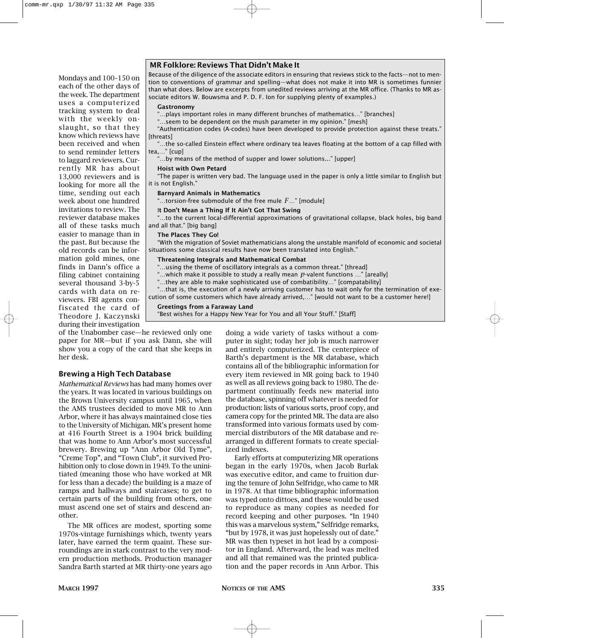Mondays and 100–150 on each of the other days of the week. The department uses a computerized tracking system to deal with the weekly onslaught, so that they know which reviews have been received and when to send reminder letters to laggard reviewers. Currently MR has about 13,000 reviewers and is looking for more all the time, sending out each week about one hundred invitations to review. The reviewer database makes all of these tasks much easier to manage than in the past. But because the old records can be information gold mines, one finds in Dann's office a filing cabinet containing several thousand 3-by-5 cards with data on reviewers. FBI agents confiscated the card of Theodore J. Kaczynski during their investigation

## **MR Folklore: Reviews That Didn't Make It**

Because of the diligence of the associate editors in ensuring that reviews stick to the facts—not to mention to conventions of grammar and spelling—what does not make it into MR is sometimes funnier than what does. Below are excerpts from unedited reviews arriving at the MR office. (Thanks to MR associate editors W. Bouwsma and P. D. F. Ion for supplying plenty of examples.)

#### **Gastronomy**

"…plays important roles in many different brunches of mathematics…" [branches]

"…seem to be dependent on the mush parameter in my opinion." [mesh]

"Authentication codes (A-codes) have been developed to provide protection against these treats." [threats]

"…the so-called Einstein effect where ordinary tea leaves floating at the bottom of a cap filled with tea,…" [cup]

"…by means of the method of supper and lower solutions..." [upper]

#### **Hoist with Own Petard**

"The paper is written very bad. The language used in the paper is only a little similar to English but it is not English."

## **Barnyard Animals in Mathematics**

"…torsion-free submodule of the free mule *F*…" [module]

#### I**t Don't Mean a Thing If It Ain't Got That Swing**

"…to the current local-differential approximations of gravitational collapse, black holes, big band and all that." [big bang]

#### **The Places They Go!**

"With the migration of Soviet mathematicians along the unstable manifold of economic and societal situations some classical results have now been translated into English."

#### **Threatening Integrals and Mathematical Combat**

...using the theme of oscillatory integrals as a common threat." [thread]

- "…which make it possible to study a really mean *p*-valent functions …" [areally]
- "…they are able to make sophisticated use of combatibility…" [compatability]
- "…that is, the execution of a newly arriving customer has to wait only for the termination of exe-

cution of some customers which have already arrived,…" [would not want to be a customer here!]

#### **Greetings from a Faraway Land**

"Best wishes for a Happy New Year for You and all Your Stuff." [Staff]

of the Unabomber case—he reviewed only one paper for MR—but if you ask Dann, she will show you a copy of the card that she keeps in her desk.

# **Brewing a High Tech Database**

*Mathematical Reviews* has had many homes over the years. It was located in various buildings on the Brown University campus until 1965, when the AMS trustees decided to move MR to Ann Arbor, where it has always maintained close ties to the University of Michigan. MR's present home at 416 Fourth Street is a 1904 brick building that was home to Ann Arbor's most successful brewery. Brewing up "Ann Arbor Old Tyme", "Creme Top", and "Town Club", it survived Prohibition only to close down in 1949. To the uninitiated (meaning those who have worked at MR for less than a decade) the building is a maze of ramps and hallways and staircases; to get to certain parts of the building from others, one must ascend one set of stairs and descend another.

The MR offices are modest, sporting some 1970s-vintage furnishings which, twenty years later, have earned the term quaint. These surroundings are in stark contrast to the very modern production methods. Production manager Sandra Barth started at MR thirty-one years ago doing a wide variety of tasks without a computer in sight; today her job is much narrower and entirely computerized. The centerpiece of Barth's department is the MR database, which contains all of the bibliographic information for every item reviewed in MR going back to 1940 as well as all reviews going back to 1980. The department continually feeds new material into the database, spinning off whatever is needed for production: lists of various sorts, proof copy, and camera copy for the printed MR. The data are also transformed into various formats used by commercial distributors of the MR database and rearranged in different formats to create specialized indexes.

Early efforts at computerizing MR operations began in the early 1970s, when Jacob Burlak was executive editor, and came to fruition during the tenure of John Selfridge, who came to MR in 1978. At that time bibliographic information was typed onto dittoes, and these would be used to reproduce as many copies as needed for record keeping and other purposes. "In 1940 this was a marvelous system," Selfridge remarks, "but by 1978, it was just hopelessly out of date." MR was then typeset in hot lead by a compositor in England. Afterward, the lead was melted and all that remained was the printed publication and the paper records in Ann Arbor. This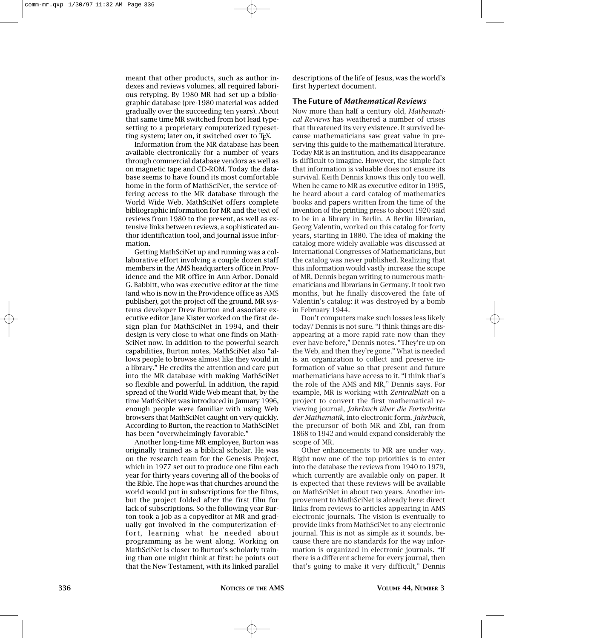meant that other products, such as author indexes and reviews volumes, all required laborious retyping. By 1980 MR had set up a bibliographic database (pre-1980 material was added gradually over the succeeding ten years). About that same time MR switched from hot lead typesetting to a proprietary computerized typesetting system; later on, it switched over to T<sub>F</sub>X.

Information from the MR database has been available electronically for a number of years through commercial database vendors as well as on magnetic tape and CD-ROM. Today the database seems to have found its most comfortable home in the form of MathSciNet, the service offering access to the MR database through the World Wide Web. MathSciNet offers complete bibliographic information for MR and the text of reviews from 1980 to the present, as well as extensive links between reviews, a sophisticated author identification tool, and journal issue information.

Getting MathSciNet up and running was a collaborative effort involving a couple dozen staff members in the AMS headquarters office in Providence and the MR office in Ann Arbor. Donald G. Babbitt, who was executive editor at the time (and who is now in the Providence office as AMS publisher), got the project off the ground. MR systems developer Drew Burton and associate executive editor Jane Kister worked on the first design plan for MathSciNet in 1994, and their design is very close to what one finds on Math-SciNet now. In addition to the powerful search capabilities, Burton notes, MathSciNet also "allows people to browse almost like they would in a library." He credits the attention and care put into the MR database with making MathSciNet so flexible and powerful. In addition, the rapid spread of the World Wide Web meant that, by the time MathSciNet was introduced in January 1996, enough people were familiar with using Web browsers that MathSciNet caught on very quickly. According to Burton, the reaction to MathSciNet has been "overwhelmingly favorable."

Another long-time MR employee, Burton was originally trained as a biblical scholar. He was on the research team for the Genesis Project, which in 1977 set out to produce one film each year for thirty years covering all of the books of the Bible. The hope was that churches around the world would put in subscriptions for the films, but the project folded after the first film for lack of subscriptions. So the following year Burton took a job as a copyeditor at MR and gradually got involved in the computerization effort, learning what he needed about programming as he went along. Working on MathSciNet is closer to Burton's scholarly training than one might think at first: he points out that the New Testament, with its linked parallel descriptions of the life of Jesus, was the world's first hypertext document.

## **The Future of** *Mathematical Reviews*

Now more than half a century old, *Mathematical Reviews* has weathered a number of crises that threatened its very existence. It survived because mathematicians saw great value in preserving this guide to the mathematical literature. Today MR is an institution, and its disappearance is difficult to imagine. However, the simple fact that information is valuable does not ensure its survival. Keith Dennis knows this only too well. When he came to MR as executive editor in 1995, he heard about a card catalog of mathematics books and papers written from the time of the invention of the printing press to about 1920 said to be in a library in Berlin. A Berlin librarian, Georg Valentin, worked on this catalog for forty years, starting in 1880. The idea of making the catalog more widely available was discussed at International Congresses of Mathematicians, but the catalog was never published. Realizing that this information would vastly increase the scope of MR, Dennis began writing to numerous mathematicians and librarians in Germany. It took two months, but he finally discovered the fate of Valentin's catalog: it was destroyed by a bomb in February 1944.

Don't computers make such losses less likely today? Dennis is not sure. "I think things are disappearing at a more rapid rate now than they ever have before," Dennis notes. "They're up on the Web, and then they're gone." What is needed is an organization to collect and preserve information of value so that present and future mathematicians have access to it. "I think that's the role of the AMS and MR," Dennis says. For example, MR is working with *Zentralblatt* on a project to convert the first mathematical reviewing journal, *Jahrbuch über die Fortschritte der Mathematik*, into electronic form. *Jahrbuch*, the precursor of both MR and Zbl, ran from 1868 to 1942 and would expand considerably the scope of MR.

Other enhancements to MR are under way. Right now one of the top priorities is to enter into the database the reviews from 1940 to 1979, which currently are available only on paper. It is expected that these reviews will be available on MathSciNet in about two years. Another improvement to MathSciNet is already here: direct links from reviews to articles appearing in AMS electronic journals. The vision is eventually to provide links from MathSciNet to any electronic journal. This is not as simple as it sounds, because there are no standards for the way information is organized in electronic journals. "If there is a different scheme for every journal, then that's going to make it very difficult," Dennis